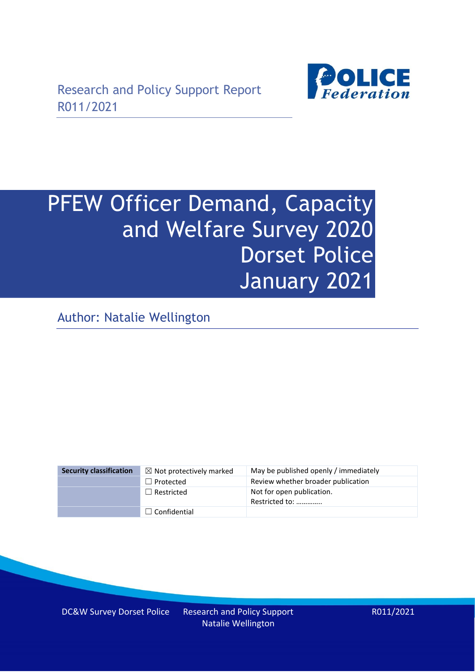

# PFEW Officer Demand, Capacity and Welfare Survey 2020 Dorset Police January 2021

Author: Natalie Wellington

| <b>Security classification</b> | $\boxtimes$ Not protectively marked | May be published openly / immediately       |
|--------------------------------|-------------------------------------|---------------------------------------------|
|                                | $\Box$ Protected                    | Review whether broader publication          |
|                                | $\Box$ Restricted                   | Not for open publication.<br>Restricted to: |
|                                | $\Box$ Confidential                 |                                             |

DC&W Survey Dorset Police Research and Policy Support Natalie Wellington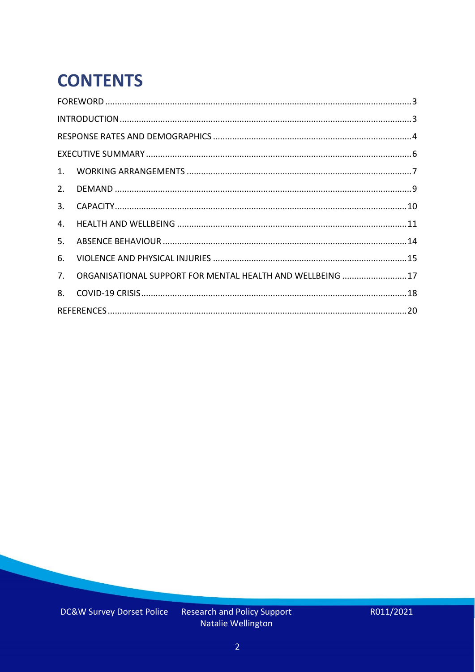# **CONTENTS**

| 4.          |                                                            |  |
|-------------|------------------------------------------------------------|--|
| 5.          |                                                            |  |
| 6.          |                                                            |  |
| $7_{\cdot}$ | ORGANISATIONAL SUPPORT FOR MENTAL HEALTH AND WELLBEING  17 |  |
| 8.          |                                                            |  |
|             |                                                            |  |

Research and Policy Support<br>Natalie Wellington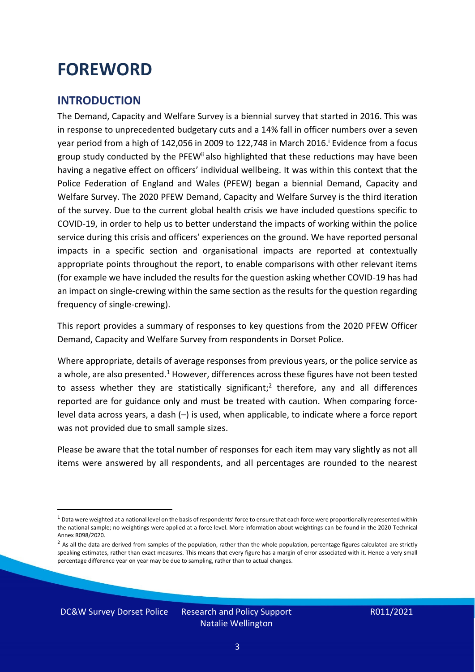### <span id="page-2-0"></span>**FOREWORD**

#### <span id="page-2-1"></span>**INTRODUCTION**

The Demand, Capacity and Welfare Survey is a biennial survey that started in 2016. This was in response to unprecedented budgetary cuts and a 14% fall in officer numbers over a seven year period from a high of 142,056 in 2009 to 122,748 in March 2016. <sup>i</sup> Evidence from a focus group study conducted by the PFEW<sup>ii</sup> also highlighted that these reductions may have been having a negative effect on officers' individual wellbeing. It was within this context that the Police Federation of England and Wales (PFEW) began a biennial Demand, Capacity and Welfare Survey. The 2020 PFEW Demand, Capacity and Welfare Survey is the third iteration of the survey. Due to the current global health crisis we have included questions specific to COVID-19, in order to help us to better understand the impacts of working within the police service during this crisis and officers' experiences on the ground. We have reported personal impacts in a specific section and organisational impacts are reported at contextually appropriate points throughout the report, to enable comparisons with other relevant items (for example we have included the results for the question asking whether COVID-19 has had an impact on single-crewing within the same section as the results for the question regarding frequency of single-crewing).

This report provides a summary of responses to key questions from the 2020 PFEW Officer Demand, Capacity and Welfare Survey from respondents in Dorset Police.

Where appropriate, details of average responses from previous years, or the police service as a whole, are also presented.<sup>1</sup> However, differences across these figures have not been tested to assess whether they are statistically significant;<sup>2</sup> therefore, any and all differences reported are for guidance only and must be treated with caution. When comparing forcelevel data across years, a dash (–) is used, when applicable, to indicate where a force report was not provided due to small sample sizes.

Please be aware that the total number of responses for each item may vary slightly as not all items were answered by all respondents, and all percentages are rounded to the nearest

DC&W Survey Dorset Police Research and Policy Support

 $1$  Data were weighted at a national level on the basis of respondents' force to ensure that each force were proportionally represented within the national sample; no weightings were applied at a force level. More information about weightings can be found in the 2020 Technical Annex R098/2020.

 $2$  As all the data are derived from samples of the population, rather than the whole population, percentage figures calculated are strictly speaking estimates, rather than exact measures. This means that every figure has a margin of error associated with it. Hence a very small percentage difference year on year may be due to sampling, rather than to actual changes.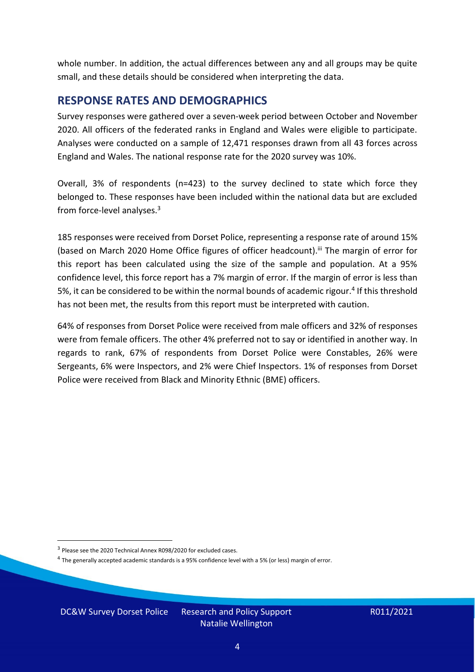whole number. In addition, the actual differences between any and all groups may be quite small, and these details should be considered when interpreting the data.

#### <span id="page-3-0"></span>**RESPONSE RATES AND DEMOGRAPHICS**

Survey responses were gathered over a seven-week period between October and November 2020. All officers of the federated ranks in England and Wales were eligible to participate. Analyses were conducted on a sample of 12,471 responses drawn from all 43 forces across England and Wales. The national response rate for the 2020 survey was 10%.

Overall, 3% of respondents (n=423) to the survey declined to state which force they belonged to. These responses have been included within the national data but are excluded from force-level analyses. $3$ 

185 responses were received from Dorset Police, representing a response rate of around 15% (based on March 2020 Home Office figures of officer headcount).<sup>iii</sup> The margin of error for this report has been calculated using the size of the sample and population. At a 95% confidence level, this force report has a 7% margin of error. If the margin of error is less than 5%, it can be considered to be within the normal bounds of academic rigour.<sup>4</sup> If this threshold has not been met, the results from this report must be interpreted with caution.

64% of responses from Dorset Police were received from male officers and 32% of responses were from female officers. The other 4% preferred not to say or identified in another way. In regards to rank, 67% of respondents from Dorset Police were Constables, 26% were Sergeants, 6% were Inspectors, and 2% were Chief Inspectors. 1% of responses from Dorset Police were received from Black and Minority Ethnic (BME) officers.

DC&W Survey Dorset Police Research and Policy Support

<sup>&</sup>lt;sup>3</sup> Please see the 2020 Technical Annex R098/2020 for excluded cases.

<sup>&</sup>lt;sup>4</sup> The generally accepted academic standards is a 95% confidence level with a 5% (or less) margin of error.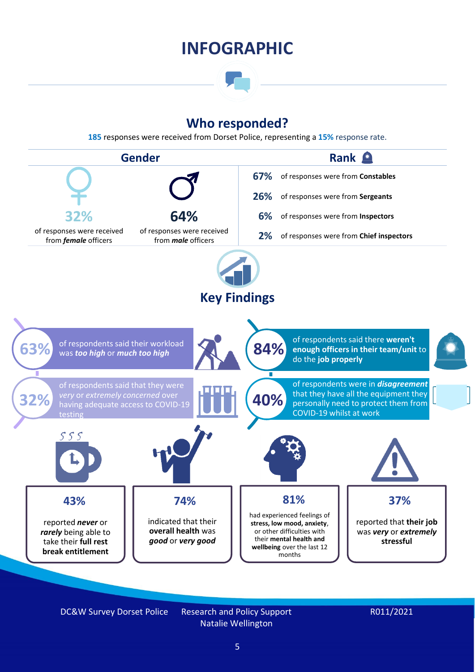### **INFOGRAPHIC**

### **Who responded?**

**185** responses were received from Dorset Police, representing a **15%** response rate.



DC&W Survey Dorset Police Research and Policy Support

Natalie Wellington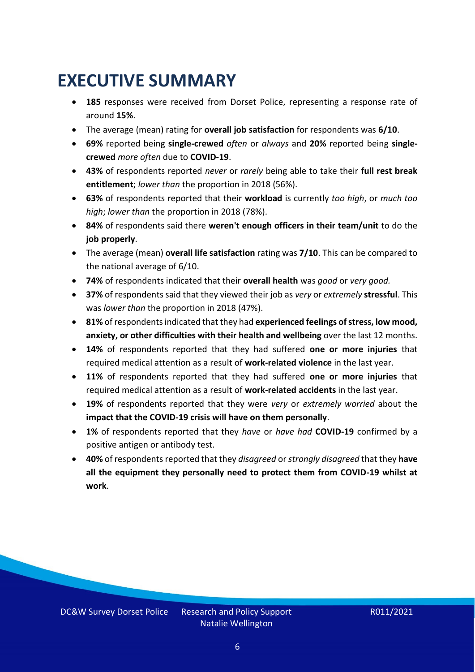### <span id="page-5-0"></span>**EXECUTIVE SUMMARY**

- **185** responses were received from Dorset Police, representing a response rate of around **15%**.
- The average (mean) rating for **overall job satisfaction** for respondents was **6/10**.
- **69%** reported being **single-crewed** *often* or *always* and **20%** reported being **singlecrewed** *more often* due to **COVID-19**.
- **43%** of respondents reported *never* or *rarely* being able to take their **full rest break entitlement**; *lower than* the proportion in 2018 (56%).
- **63%** of respondents reported that their **workload** is currently *too high*, or *much too high*; *lower than* the proportion in 2018 (78%).
- **84%** of respondents said there **weren't enough officers in their team/unit** to do the **job properly**.
- The average (mean) **overall life satisfaction** rating was **7/10**. This can be compared to the national average of 6/10.
- **74%** of respondents indicated that their **overall health** was *good* or *very good.*
- **37%** of respondents said that they viewed their job as *very* or *extremely* **stressful**. This was *lower than* the proportion in 2018 (47%).
- **81%** of respondents indicated that they had **experienced feelings of stress, low mood, anxiety, or other difficulties with their health and wellbeing** over the last 12 months.
- **14%** of respondents reported that they had suffered **one or more injuries** that required medical attention as a result of **work-related violence** in the last year.
- **11%** of respondents reported that they had suffered **one or more injuries** that required medical attention as a result of **work-related accidents** in the last year.
- **19%** of respondents reported that they were *very* or *extremely worried* about the **impact that the COVID-19 crisis will have on them personally**.
- **1%** of respondents reported that they *have* or *have had* **COVID-19** confirmed by a positive antigen or antibody test.
- **40%** of respondents reported that they *disagreed* or *strongly disagreed* that they **have all the equipment they personally need to protect them from COVID-19 whilst at work**.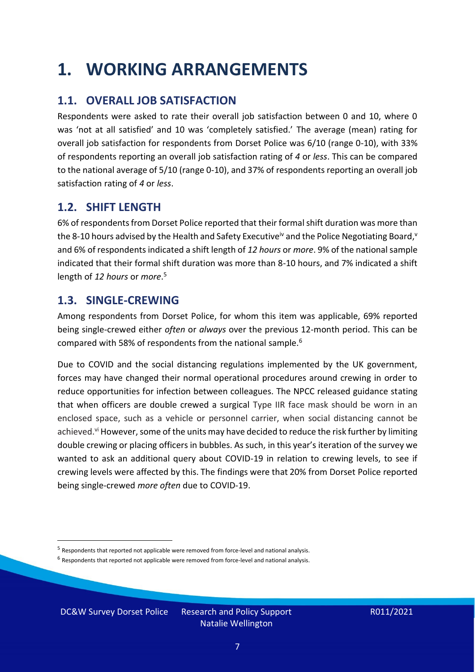### <span id="page-6-0"></span>**1. WORKING ARRANGEMENTS**

### **1.1. OVERALL JOB SATISFACTION**

Respondents were asked to rate their overall job satisfaction between 0 and 10, where 0 was 'not at all satisfied' and 10 was 'completely satisfied.' The average (mean) rating for overall job satisfaction for respondents from Dorset Police was 6/10 (range 0-10), with 33% of respondents reporting an overall job satisfaction rating of *4* or *less*. This can be compared to the national average of 5/10 (range 0-10), and 37% of respondents reporting an overall job satisfaction rating of *4* or *less*.

### **1.2. SHIFT LENGTH**

6% of respondents from Dorset Police reported that their formal shift duration was more than the 8-10 hours advised by the Health and Safety Executive<sup>iv</sup> and the Police Negotiating Board,<sup>v</sup> and 6% of respondents indicated a shift length of *12 hours* or *more*. 9% of the national sample indicated that their formal shift duration was more than 8-10 hours, and 7% indicated a shift length of *12 hours* or *more*. 5

### **1.3. SINGLE-CREWING**

Among respondents from Dorset Police, for whom this item was applicable, 69% reported being single-crewed either *often* or *always* over the previous 12-month period. This can be compared with 58% of respondents from the national sample.<sup>6</sup>

Due to COVID and the social distancing regulations implemented by the UK government, forces may have changed their normal operational procedures around crewing in order to reduce opportunities for infection between colleagues. The NPCC released guidance stating that when officers are double crewed a surgical Type IIR face mask should be worn in an enclosed space, such as a vehicle or personnel carrier, when social distancing cannot be achieved.<sup>vi</sup> However, some of the units may have decided to reduce the risk further by limiting double crewing or placing officers in bubbles. As such, in this year's iteration of the survey we wanted to ask an additional query about COVID-19 in relation to crewing levels, to see if crewing levels were affected by this. The findings were that 20% from Dorset Police reported being single-crewed *more often* due to COVID-19.

DC&W Survey Dorset Police Research and Policy Support

<sup>&</sup>lt;sup>5</sup> Respondents that reported not applicable were removed from force-level and national analysis.

 $<sup>6</sup>$  Respondents that reported not applicable were removed from force-level and national analysis.</sup>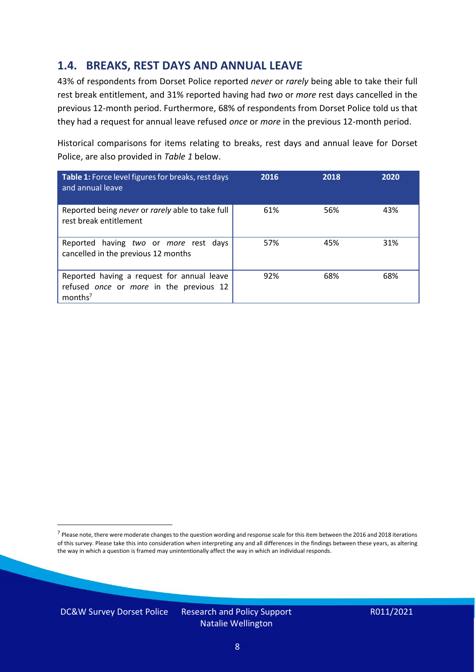### **1.4. BREAKS, REST DAYS AND ANNUAL LEAVE**

43% of respondents from Dorset Police reported *never* or *rarely* being able to take their full rest break entitlement, and 31% reported having had *two* or *more* rest days cancelled in the previous 12-month period. Furthermore, 68% of respondents from Dorset Police told us that they had a request for annual leave refused *once* or *more* in the previous 12-month period.

Historical comparisons for items relating to breaks, rest days and annual leave for Dorset Police, are also provided in *Table 1* below.

| Table 1: Force level figures for breaks, rest days<br>and annual leave                                       | 2016 | 2018 | 2020 |
|--------------------------------------------------------------------------------------------------------------|------|------|------|
| Reported being never or rarely able to take full<br>rest break entitlement                                   | 61%  | 56%  | 43%  |
| Reported having two or more rest days<br>cancelled in the previous 12 months                                 | 57%  | 45%  | 31%  |
| Reported having a request for annual leave<br>refused once or more in the previous 12<br>months <sup>7</sup> | 92%  | 68%  | 68%  |

DC&W Survey Dorset Police Research and Policy Support

<sup>&</sup>lt;sup>7</sup> Please note, there were moderate changes to the question wording and response scale for this item between the 2016 and 2018 iterations of this survey. Please take this into consideration when interpreting any and all differences in the findings between these years, as altering the way in which a question is framed may unintentionally affect the way in which an individual responds.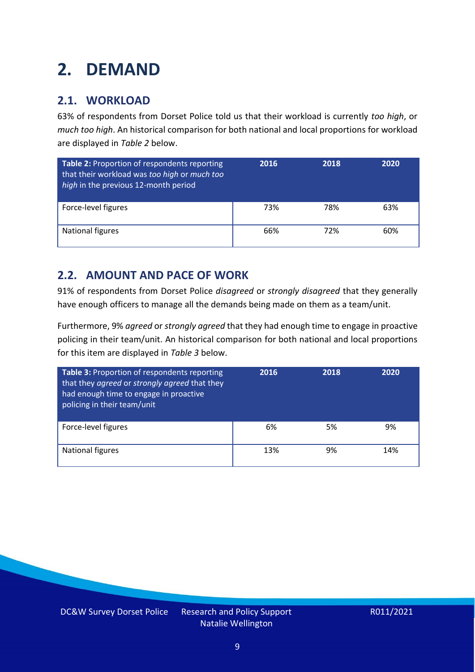### <span id="page-8-0"></span>**2. DEMAND**

### **2.1. WORKLOAD**

63% of respondents from Dorset Police told us that their workload is currently *too high*, or *much too high*. An historical comparison for both national and local proportions for workload are displayed in *Table 2* below.

| Table 2: Proportion of respondents reporting<br>that their workload was too high or much too<br>high in the previous 12-month period | 2016 | 2018 | 2020 |
|--------------------------------------------------------------------------------------------------------------------------------------|------|------|------|
| Force-level figures                                                                                                                  | 73%  | 78%  | 63%  |
| National figures                                                                                                                     | 66%  | 72%  | 60%  |

### **2.2. AMOUNT AND PACE OF WORK**

91% of respondents from Dorset Police *disagreed* or *strongly disagreed* that they generally have enough officers to manage all the demands being made on them as a team/unit.

Furthermore, 9% *agreed* or *strongly agreed* that they had enough time to engage in proactive policing in their team/unit. An historical comparison for both national and local proportions for this item are displayed in *Table 3* below.

| <b>Table 3: Proportion of respondents reporting</b><br>that they agreed or strongly agreed that they<br>had enough time to engage in proactive<br>policing in their team/unit | 2016 | 2018 | 2020 |
|-------------------------------------------------------------------------------------------------------------------------------------------------------------------------------|------|------|------|
| Force-level figures                                                                                                                                                           | 6%   | 5%   | 9%   |
| <b>National figures</b>                                                                                                                                                       | 13%  | 9%   | 14%  |

DC&W Survey Dorset Police Research and Policy Support Natalie Wellington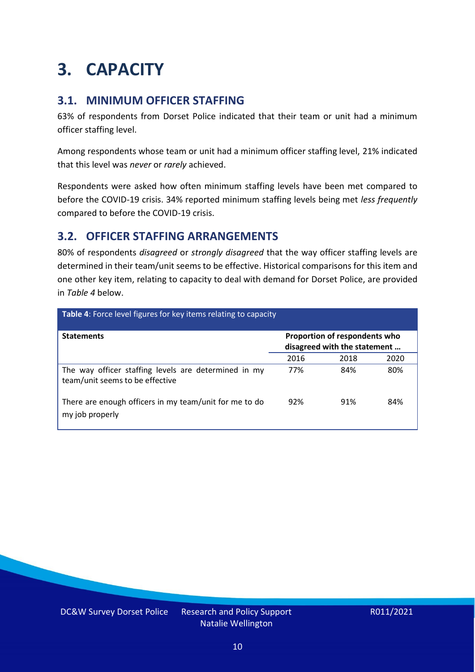### <span id="page-9-0"></span>**3. CAPACITY**

### **3.1. MINIMUM OFFICER STAFFING**

63% of respondents from Dorset Police indicated that their team or unit had a minimum officer staffing level.

Among respondents whose team or unit had a minimum officer staffing level, 21% indicated that this level was *never* or *rarely* achieved.

Respondents were asked how often minimum staffing levels have been met compared to before the COVID-19 crisis. 34% reported minimum staffing levels being met *less frequently* compared to before the COVID-19 crisis.

### **3.2. OFFICER STAFFING ARRANGEMENTS**

80% of respondents *disagreed* or *strongly disagreed* that the way officer staffing levels are determined in their team/unit seems to be effective. Historical comparisons for this item and one other key item, relating to capacity to deal with demand for Dorset Police, are provided in *Table 4* below.

| Table 4: Force level figures for key items relating to capacity                         |      |                                                               |      |
|-----------------------------------------------------------------------------------------|------|---------------------------------------------------------------|------|
| <b>Statements</b>                                                                       |      | Proportion of respondents who<br>disagreed with the statement |      |
|                                                                                         | 2016 | 2018                                                          | 2020 |
| The way officer staffing levels are determined in my<br>team/unit seems to be effective | 77%  | 84%                                                           | 80%  |
| There are enough officers in my team/unit for me to do<br>my job properly               | 92%  | 91%                                                           | 84%  |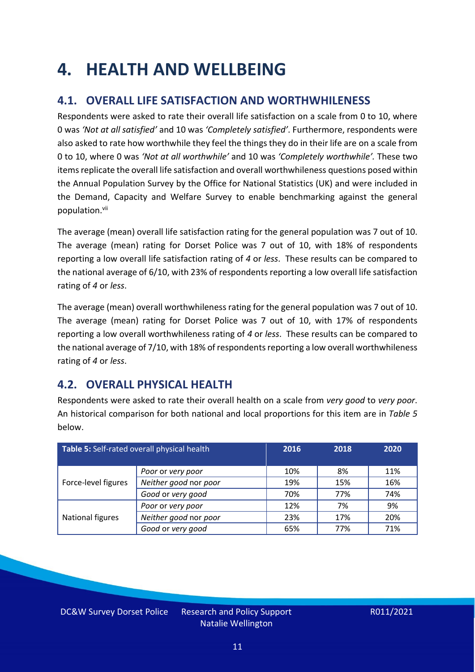### <span id="page-10-0"></span>**4. HEALTH AND WELLBEING**

### **4.1. OVERALL LIFE SATISFACTION AND WORTHWHILENESS**

Respondents were asked to rate their overall life satisfaction on a scale from 0 to 10, where 0 was *'Not at all satisfied'* and 10 was *'Completely satisfied'*. Furthermore, respondents were also asked to rate how worthwhile they feel the things they do in their life are on a scale from 0 to 10, where 0 was *'Not at all worthwhile'* and 10 was *'Completely worthwhile'.* These two items replicate the overall life satisfaction and overall worthwhileness questions posed within the Annual Population Survey by the Office for National Statistics (UK) and were included in the Demand, Capacity and Welfare Survey to enable benchmarking against the general population. vii

The average (mean) overall life satisfaction rating for the general population was 7 out of 10. The average (mean) rating for Dorset Police was 7 out of 10, with 18% of respondents reporting a low overall life satisfaction rating of *4* or *less*. These results can be compared to the national average of 6/10, with 23% of respondents reporting a low overall life satisfaction rating of *4* or *less*.

The average (mean) overall worthwhileness rating for the general population was 7 out of 10. The average (mean) rating for Dorset Police was 7 out of 10, with 17% of respondents reporting a low overall worthwhileness rating of *4* or *less*. These results can be compared to the national average of 7/10, with 18% of respondents reporting a low overall worthwhileness rating of *4* or *less*.

### **4.2. OVERALL PHYSICAL HEALTH**

Respondents were asked to rate their overall health on a scale from *very good* to *very poor*. An historical comparison for both national and local proportions for this item are in *Table 5* below.

| Table 5: Self-rated overall physical health |                       | 2016 | 2018 | 2020 |
|---------------------------------------------|-----------------------|------|------|------|
|                                             | Poor or very poor     | 10%  | 8%   | 11%  |
| Force-level figures                         | Neither good nor poor | 19%  | 15%  | 16%  |
|                                             | Good or very good     | 70%  | 77%  | 74%  |
|                                             | Poor or very poor     | 12%  | 7%   | 9%   |
| National figures                            | Neither good nor poor | 23%  | 17%  | 20%  |
|                                             | Good or very good     | 65%  | 77%  | 71%  |

DC&W Survey Dorset Police Research and Policy Support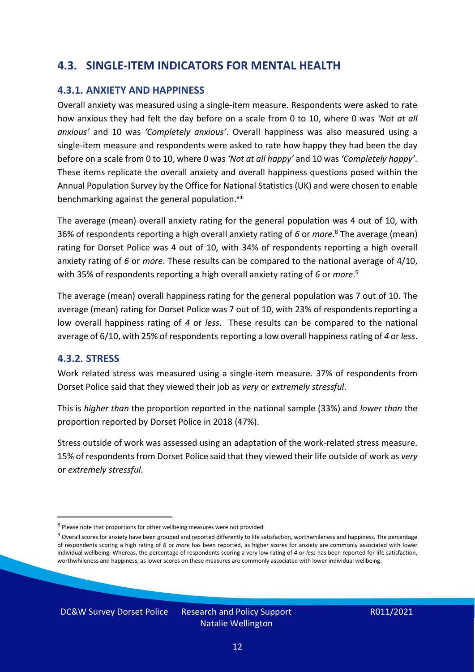### **4.3. SINGLE-ITEM INDICATORS FOR MENTAL HEALTH**

#### **4.3.1. ANXIETY AND HAPPINESS**

Overall anxiety was measured using a single-item measure. Respondents were asked to rate how anxious they had felt the day before on a scale from 0 to 10, where 0 was *'Not at all anxious'* and 10 was *'Completely anxious'*. Overall happiness was also measured using a single-item measure and respondents were asked to rate how happy they had been the day before on a scale from 0 to 10, where 0 was *'Not at all happy'* and 10 was *'Completely happy'*. These items replicate the overall anxiety and overall happiness questions posed within the Annual Population Survey by the Office for National Statistics (UK) and were chosen to enable benchmarking against the general population.<sup>viii</sup>

The average (mean) overall anxiety rating for the general population was 4 out of 10, with 36% of respondents reporting a high overall anxiety rating of *6* or *more*. <sup>8</sup> The average (mean) rating for Dorset Police was 4 out of 10, with 34% of respondents reporting a high overall anxiety rating of *6* or *more*. These results can be compared to the national average of 4/10, with 35% of respondents reporting a high overall anxiety rating of *6* or *more*. 9

The average (mean) overall happiness rating for the general population was 7 out of 10. The average (mean) rating for Dorset Police was 7 out of 10, with 23% of respondents reporting a low overall happiness rating of *4* or *less*. These results can be compared to the national average of 6/10, with 25% of respondents reporting a low overall happinessrating of *4* or *less*.

#### **4.3.2. STRESS**

Work related stress was measured using a single-item measure. 37% of respondents from Dorset Police said that they viewed their job as *very* or *extremely stressful*.

This is *higher than* the proportion reported in the national sample (33%) and *lower than* the proportion reported by Dorset Police in 2018 (47%).

Stress outside of work was assessed using an adaptation of the work-related stress measure. 15% of respondents from Dorset Police said that they viewed their life outside of work as *very* or *extremely stressful*.

DC&W Survey Dorset Police Research and Policy Support

<sup>&</sup>lt;sup>8</sup> Please note that proportions for other wellbeing measures were not provided

 $9$  Overall scores for anxiety have been grouped and reported differently to life satisfaction, worthwhileness and happiness. The percentage of respondents scoring a high rating of *6* or *more* has been reported, as higher scores for anxiety are commonly associated with lower individual wellbeing. Whereas, the percentage of respondents scoring a very low rating of *4* or *less* has been reported for life satisfaction, worthwhileness and happiness, as lower scores on these measures are commonly associated with lower individual wellbeing.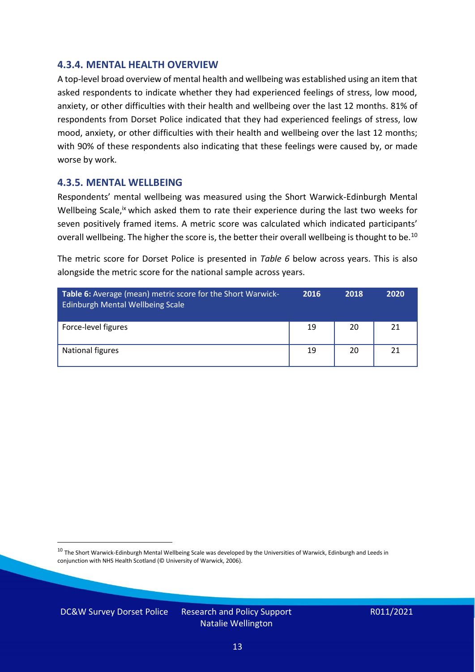#### **4.3.4. MENTAL HEALTH OVERVIEW**

A top-level broad overview of mental health and wellbeing was established using an item that asked respondents to indicate whether they had experienced feelings of stress, low mood, anxiety, or other difficulties with their health and wellbeing over the last 12 months. 81% of respondents from Dorset Police indicated that they had experienced feelings of stress, low mood, anxiety, or other difficulties with their health and wellbeing over the last 12 months; with 90% of these respondents also indicating that these feelings were caused by, or made worse by work.

#### **4.3.5. MENTAL WELLBEING**

Respondents' mental wellbeing was measured using the Short Warwick-Edinburgh Mental Wellbeing Scale,<sup>ix</sup> which asked them to rate their experience during the last two weeks for seven positively framed items. A metric score was calculated which indicated participants' overall wellbeing. The higher the score is, the better their overall wellbeing is thought to be.<sup>10</sup>

The metric score for Dorset Police is presented in *Table 6* below across years. This is also alongside the metric score for the national sample across years.

| <b>Table 6:</b> Average (mean) metric score for the Short Warwick-<br>Edinburgh Mental Wellbeing Scale | 2016 | 2018 | 2020 |
|--------------------------------------------------------------------------------------------------------|------|------|------|
| Force-level figures                                                                                    | 19   | 20   | 21   |
| National figures                                                                                       | 19   | 20   | 21   |

 $10$  The Short Warwick-Edinburgh Mental Wellbeing Scale was developed by the Universities of Warwick, Edinburgh and Leeds in conjunction with NHS Health Scotland (© University of Warwick, 2006).

DC&W Survey Dorset Police Research and Policy Support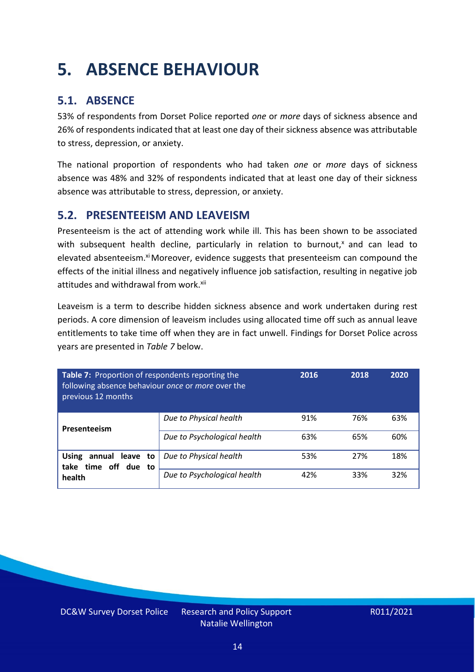### <span id="page-13-0"></span>**5. ABSENCE BEHAVIOUR**

### **5.1. ABSENCE**

53% of respondents from Dorset Police reported *one* or *more* days of sickness absence and 26% of respondents indicated that at least one day of their sickness absence was attributable to stress, depression, or anxiety.

The national proportion of respondents who had taken *one* or *more* days of sickness absence was 48% and 32% of respondents indicated that at least one day of their sickness absence was attributable to stress, depression, or anxiety.

### **5.2. PRESENTEEISM AND LEAVEISM**

Presenteeism is the act of attending work while ill. This has been shown to be associated with subsequent health decline, particularly in relation to burnout, $x$  and can lead to elevated absenteeism.<sup>xi</sup> Moreover, evidence suggests that presenteeism can compound the effects of the initial illness and negatively influence job satisfaction, resulting in negative job attitudes and withdrawal from work.<sup>xii</sup>

Leaveism is a term to describe hidden sickness absence and work undertaken during rest periods. A core dimension of leaveism includes using allocated time off such as annual leave entitlements to take time off when they are in fact unwell. Findings for Dorset Police across years are presented in *Table 7* below.

| Table 7: Proportion of respondents reporting the<br>following absence behaviour once or more over the<br>previous 12 months |                             | 2016 | 2018 | 2020 |
|-----------------------------------------------------------------------------------------------------------------------------|-----------------------------|------|------|------|
| Presenteeism                                                                                                                | Due to Physical health      | 91%  | 76%  | 63%  |
|                                                                                                                             | Due to Psychological health | 63%  | 65%  | 60%  |
| annual leave to<br><b>Using</b><br>time off due to<br>take                                                                  | Due to Physical health      | 53%  | 27%  | 18%  |
| health                                                                                                                      | Due to Psychological health | 42%  | 33%  | 32%  |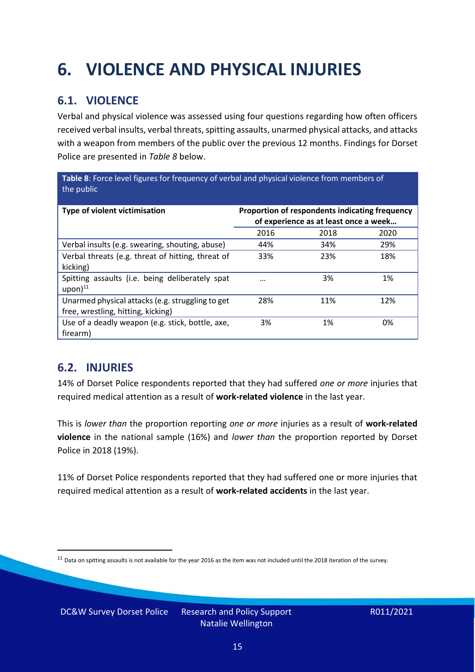## <span id="page-14-0"></span>**6. VIOLENCE AND PHYSICAL INJURIES**

### **6.1. VIOLENCE**

Verbal and physical violence was assessed using four questions regarding how often officers received verbal insults, verbal threats, spitting assaults, unarmed physical attacks, and attacks with a weapon from members of the public over the previous 12 months. Findings for Dorset Police are presented in *Table 8* below.

**Table 8**: Force level figures for frequency of verbal and physical violence from members of the public

| Type of violent victimisation                                                          | Proportion of respondents indicating frequency<br>of experience as at least once a week |      |      |
|----------------------------------------------------------------------------------------|-----------------------------------------------------------------------------------------|------|------|
|                                                                                        | 2016                                                                                    | 2018 | 2020 |
| Verbal insults (e.g. swearing, shouting, abuse)                                        | 44%                                                                                     | 34%  | 29%  |
| Verbal threats (e.g. threat of hitting, threat of<br>kicking)                          | 33%                                                                                     | 23%  | 18%  |
| Spitting assaults (i.e. being deliberately spat<br>$upon)$ <sup>11</sup>               | $\cdots$                                                                                | 3%   | 1%   |
| Unarmed physical attacks (e.g. struggling to get<br>free, wrestling, hitting, kicking) | 28%                                                                                     | 11%  | 12%  |
| Use of a deadly weapon (e.g. stick, bottle, axe,<br>firearm)                           | 3%                                                                                      | 1%   | 0%   |

### **6.2. INJURIES**

14% of Dorset Police respondents reported that they had suffered *one or more* injuries that required medical attention as a result of **work-related violence** in the last year.

This is *lower than* the proportion reporting *one or more* injuries as a result of **work-related violence** in the national sample (16%) and *lower than* the proportion reported by Dorset Police in 2018 (19%).

11% of Dorset Police respondents reported that they had suffered one or more injuries that required medical attention as a result of **work-related accidents** in the last year.

DC&W Survey Dorset Police Research and Policy Support

 $11$  Data on spitting assaults is not available for the year 2016 as the item was not included until the 2018 iteration of the survey.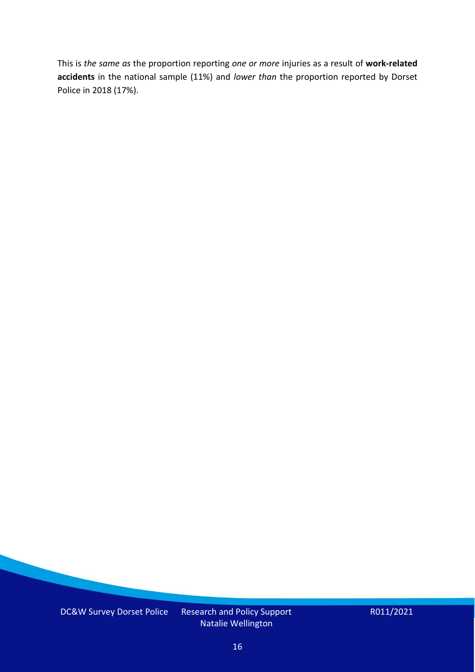This is *the same as* the proportion reporting *one or more* injuries as a result of **work-related accidents** in the national sample (11%) and *lower than* the proportion reported by Dorset Police in 2018 (17%).

DC&W Survey Dorset Police Research and Policy Support

Natalie Wellington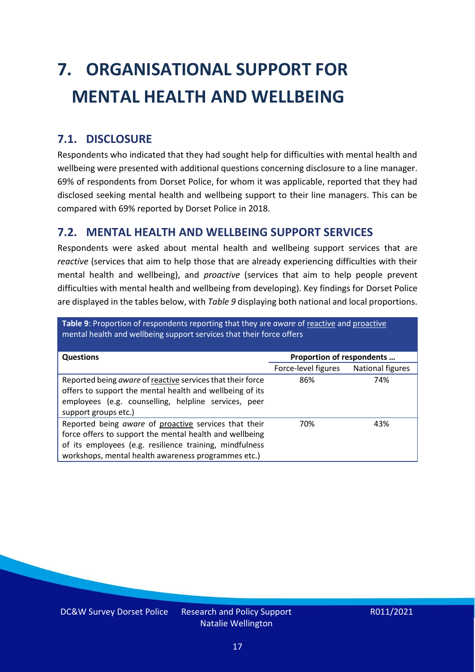# <span id="page-16-0"></span>**7. ORGANISATIONAL SUPPORT FOR MENTAL HEALTH AND WELLBEING**

### **7.1. DISCLOSURE**

Respondents who indicated that they had sought help for difficulties with mental health and wellbeing were presented with additional questions concerning disclosure to a line manager. 69% of respondents from Dorset Police, for whom it was applicable, reported that they had disclosed seeking mental health and wellbeing support to their line managers. This can be compared with 69% reported by Dorset Police in 2018.

### **7.2. MENTAL HEALTH AND WELLBEING SUPPORT SERVICES**

Respondents were asked about mental health and wellbeing support services that are *reactive* (services that aim to help those that are already experiencing difficulties with their mental health and wellbeing), and *proactive* (services that aim to help people prevent difficulties with mental health and wellbeing from developing). Key findings for Dorset Police are displayed in the tables below, with *Table 9* displaying both national and local proportions.

**Table 9**: Proportion of respondents reporting that they are *aware* of reactive and proactive mental health and wellbeing support services that their force offers

| <b>Questions</b>                                                                                                                                                                                                                   | Proportion of respondents |                  |
|------------------------------------------------------------------------------------------------------------------------------------------------------------------------------------------------------------------------------------|---------------------------|------------------|
|                                                                                                                                                                                                                                    | Force-level figures       | National figures |
| Reported being aware of reactive services that their force<br>offers to support the mental health and wellbeing of its<br>employees (e.g. counselling, helpline services, peer<br>support groups etc.)                             | 86%                       | 74%              |
| Reported being aware of proactive services that their<br>force offers to support the mental health and wellbeing<br>of its employees (e.g. resilience training, mindfulness<br>workshops, mental health awareness programmes etc.) | 70%                       | 43%              |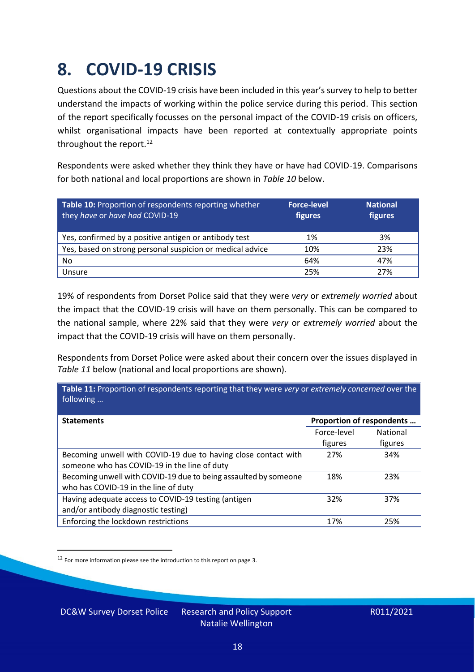### <span id="page-17-0"></span>**8. COVID-19 CRISIS**

Questions about the COVID-19 crisis have been included in this year's survey to help to better understand the impacts of working within the police service during this period. This section of the report specifically focusses on the personal impact of the COVID-19 crisis on officers, whilst organisational impacts have been reported at contextually appropriate points throughout the report.<sup>12</sup>

Respondents were asked whether they think they have or have had COVID-19. Comparisons for both national and local proportions are shown in *Table 10* below.

| Table 10: Proportion of respondents reporting whether<br>they have or have had COVID-19 | <b>Force-level</b><br>figures | <b>National</b><br>figures |
|-----------------------------------------------------------------------------------------|-------------------------------|----------------------------|
| Yes, confirmed by a positive antigen or antibody test                                   | 1%                            | 3%                         |
| Yes, based on strong personal suspicion or medical advice                               | 10%                           | 23%                        |
| No                                                                                      | 64%                           | 47%                        |
| Unsure                                                                                  | 25%                           | 27%                        |

19% of respondents from Dorset Police said that they were *very* or *extremely worried* about the impact that the COVID-19 crisis will have on them personally. This can be compared to the national sample, where 22% said that they were *very* or *extremely worried* about the impact that the COVID-19 crisis will have on them personally.

Respondents from Dorset Police were asked about their concern over the issues displayed in *Table 11* below (national and local proportions are shown).

| Table 11: Proportion of respondents reporting that they were very or extremely concerned over the<br>following |                           |                 |
|----------------------------------------------------------------------------------------------------------------|---------------------------|-----------------|
| <b>Statements</b>                                                                                              | Proportion of respondents |                 |
|                                                                                                                | Force-level               | <b>National</b> |
|                                                                                                                | figures                   | figures         |
| Becoming unwell with COVID-19 due to having close contact with<br>someone who has COVID-19 in the line of duty | 27%                       | 34%             |
| Becoming unwell with COVID-19 due to being assaulted by someone<br>who has COVID-19 in the line of duty        | 18%                       | 23%             |
| Having adequate access to COVID-19 testing (antigen<br>and/or antibody diagnostic testing)                     | 32%                       | 37%             |
| Enforcing the lockdown restrictions                                                                            | 17%                       | 25%             |

<sup>12</sup> For more information please see the introduction to this report on page 3.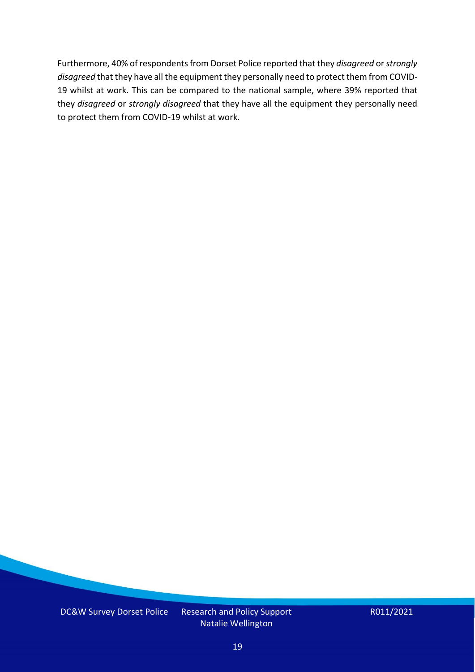Furthermore, 40% of respondents from Dorset Police reported that they *disagreed* or *strongly disagreed* that they have all the equipment they personally need to protect them from COVID-19 whilst at work. This can be compared to the national sample, where 39% reported that they *disagreed* or *strongly disagreed* that they have all the equipment they personally need to protect them from COVID-19 whilst at work.

DC&W Survey Dorset Police Research and Policy Support

Natalie Wellington